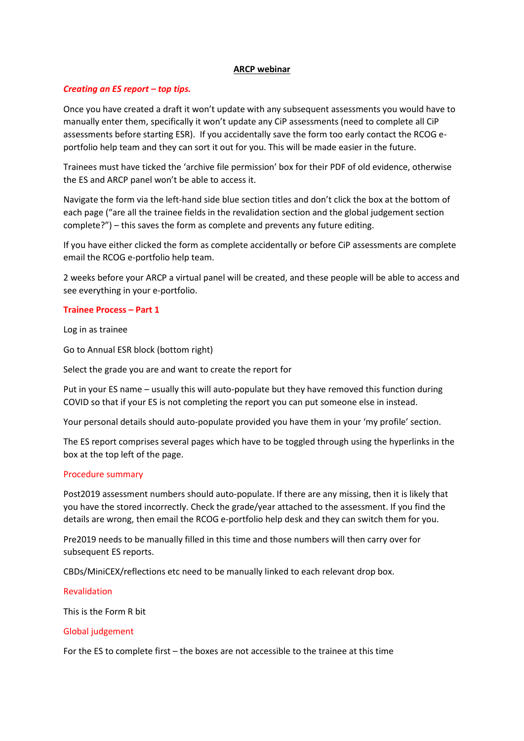# **ARCP webinar**

# *Creating an ES report – top tips.*

Once you have created a draft it won't update with any subsequent assessments you would have to manually enter them, specifically it won't update any CiP assessments (need to complete all CiP assessments before starting ESR). If you accidentally save the form too early contact the RCOG eportfolio help team and they can sort it out for you. This will be made easier in the future.

Trainees must have ticked the 'archive file permission' box for their PDF of old evidence, otherwise the ES and ARCP panel won't be able to access it.

Navigate the form via the left-hand side blue section titles and don't click the box at the bottom of each page ("are all the trainee fields in the revalidation section and the global judgement section complete?") – this saves the form as complete and prevents any future editing.

If you have either clicked the form as complete accidentally or before CiP assessments are complete email the RCOG e-portfolio help team.

2 weeks before your ARCP a virtual panel will be created, and these people will be able to access and see everything in your e-portfolio.

## **Trainee Process – Part 1**

Log in as trainee

Go to Annual ESR block (bottom right)

Select the grade you are and want to create the report for

Put in your ES name – usually this will auto-populate but they have removed this function during COVID so that if your ES is not completing the report you can put someone else in instead.

Your personal details should auto-populate provided you have them in your 'my profile' section.

The ES report comprises several pages which have to be toggled through using the hyperlinks in the box at the top left of the page.

#### Procedure summary

Post2019 assessment numbers should auto-populate. If there are any missing, then it is likely that you have the stored incorrectly. Check the grade/year attached to the assessment. If you find the details are wrong, then email the RCOG e-portfolio help desk and they can switch them for you.

Pre2019 needs to be manually filled in this time and those numbers will then carry over for subsequent ES reports.

CBDs/MiniCEX/reflections etc need to be manually linked to each relevant drop box.

Revalidation

This is the Form R bit

#### Global judgement

For the ES to complete first – the boxes are not accessible to the trainee at this time